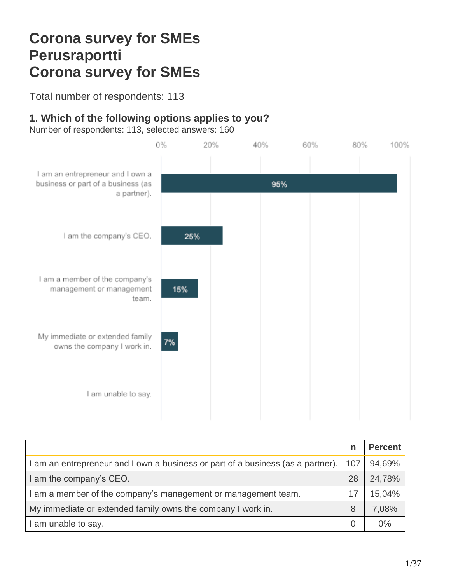# **Corona survey for SMEs Perusraportti Corona survey for SMEs**

Total number of respondents: 113

# **1. Which of the following options applies to you?**

Number of respondents: 113, selected answers: 160



|                                                                                 | $\mathsf{n}$ | <b>Percent</b> |
|---------------------------------------------------------------------------------|--------------|----------------|
| I am an entrepreneur and I own a business or part of a business (as a partner). | 107          | 94,69%         |
| I am the company's CEO.                                                         | 28           | 24,78%         |
| I am a member of the company's management or management team.                   | 17           | 15,04%         |
| My immediate or extended family owns the company I work in.                     | 8            | 7,08%          |
| I am unable to say.                                                             | 0            | 0%             |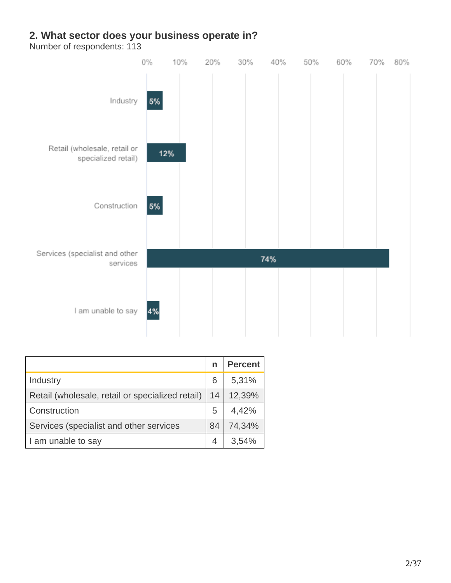#### **2. What sector does your business operate in?**



|                                                  | n  | <b>Percent</b> |
|--------------------------------------------------|----|----------------|
| Industry                                         | 6  | 5,31%          |
| Retail (wholesale, retail or specialized retail) | 14 | 12,39%         |
| Construction                                     | 5  | 4,42%          |
| Services (specialist and other services          | 84 | 74,34%         |
| I am unable to say                               |    | 3.54%          |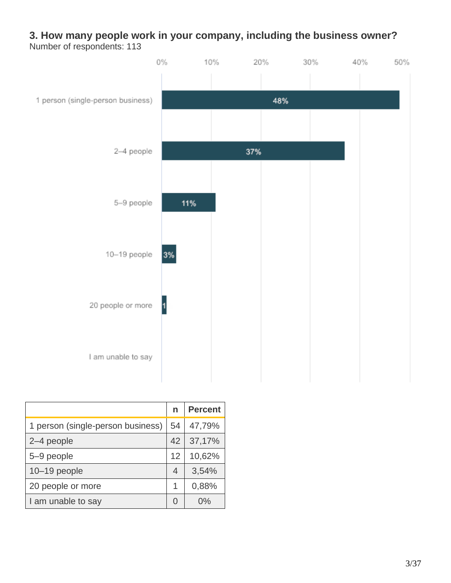#### **3. How many people work in your company, including the business owner?** Number of respondents: 113



|                                   | n  | <b>Percent</b> |
|-----------------------------------|----|----------------|
| 1 person (single-person business) | 54 | 47,79%         |
| 2-4 people                        | 42 | 37,17%         |
| 5-9 people                        | 12 | 10,62%         |
| 10-19 people                      | 4  | 3,54%          |
| 20 people or more                 | 1  | 0,88%          |
| I am unable to say                |    | በ%             |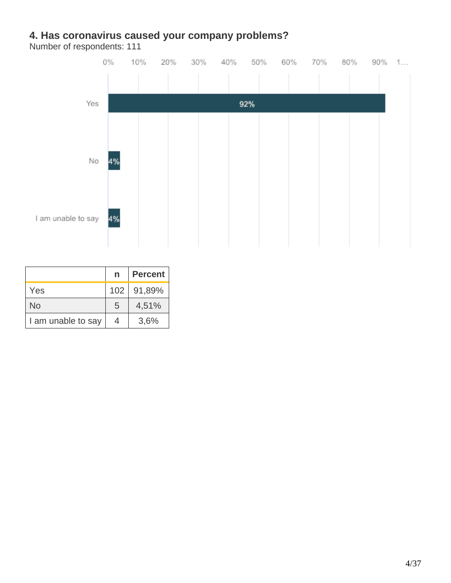#### **4. Has coronavirus caused your company problems?**



|                    | n | <b>Percent</b> |
|--------------------|---|----------------|
| Yes                |   | 102 91,89%     |
| <b>No</b>          | 5 | 4,51%          |
| I am unable to say | 4 | 3,6%           |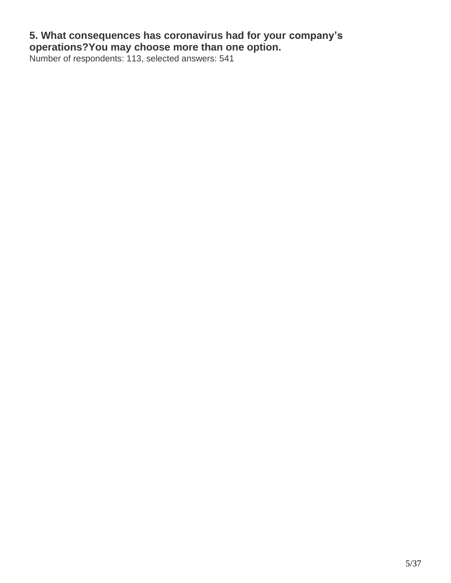#### **5. What consequences has coronavirus had for your company's operations?You may choose more than one option.**

Number of respondents: 113, selected answers: 541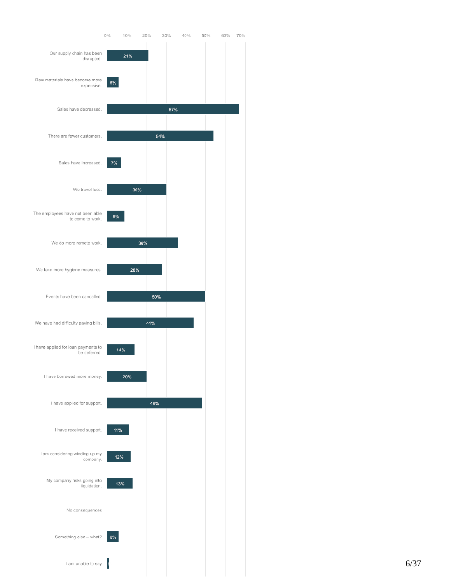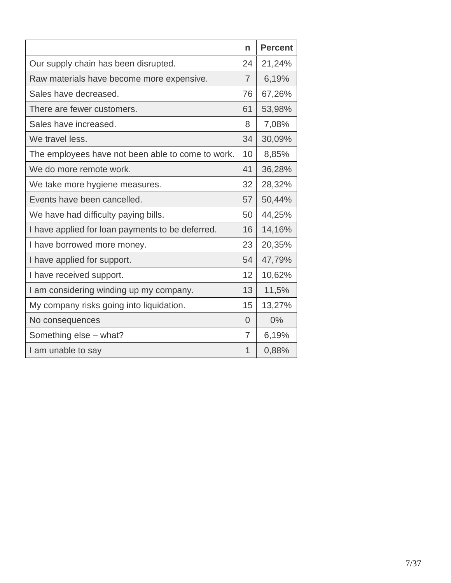|                                                   | n              | <b>Percent</b> |
|---------------------------------------------------|----------------|----------------|
| Our supply chain has been disrupted.              | 24             | 21,24%         |
| Raw materials have become more expensive.         | $\overline{7}$ | 6,19%          |
| Sales have decreased.                             | 76             | 67,26%         |
| There are fewer customers.                        | 61             | 53,98%         |
| Sales have increased.                             | 8              | 7,08%          |
| We travel less.                                   | 34             | 30,09%         |
| The employees have not been able to come to work. | 10             | 8,85%          |
| We do more remote work.                           | 41             | 36,28%         |
| We take more hygiene measures.                    | 32             | 28,32%         |
| Events have been cancelled.                       | 57             | 50,44%         |
| We have had difficulty paying bills.              | 50             | 44,25%         |
| I have applied for loan payments to be deferred.  | 16             | 14,16%         |
| I have borrowed more money.                       | 23             | 20,35%         |
| I have applied for support.                       | 54             | 47,79%         |
| I have received support.                          | 12             | 10,62%         |
| I am considering winding up my company.           | 13             | 11,5%          |
| My company risks going into liquidation.          | 15             | 13,27%         |
| No consequences                                   | $\overline{0}$ | 0%             |
| Something else - what?                            | 7              | 6,19%          |
| I am unable to say                                | 1              | 0,88%          |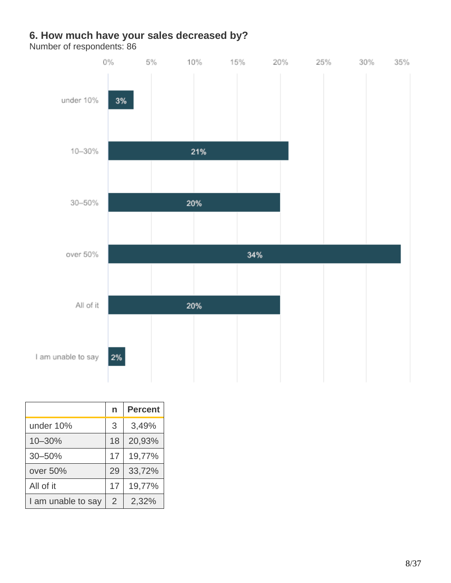#### **6. How much have your sales decreased by?**



|                    | n              | <b>Percent</b> |
|--------------------|----------------|----------------|
| under 10%          | 3              | 3,49%          |
| 10-30%             | 18             | 20,93%         |
| $30 - 50%$         | 17             | 19,77%         |
| over 50%           | 29             | 33,72%         |
| All of it          | 17             | 19,77%         |
| I am unable to say | $\overline{2}$ | 2,32%          |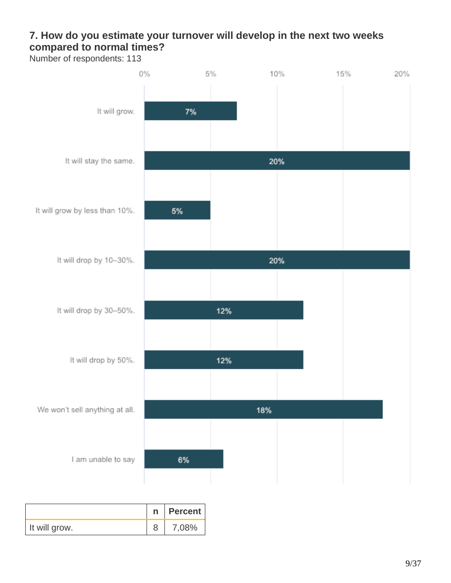# **7. How do you estimate your turnover will develop in the next two weeks compared to normal times?**

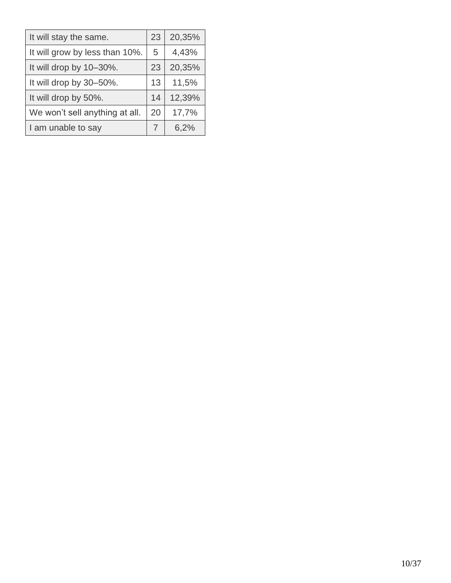| It will stay the same.         | 23 | 20,35% |
|--------------------------------|----|--------|
| It will grow by less than 10%. | 5  | 4,43%  |
| It will drop by 10-30%.        | 23 | 20,35% |
| It will drop by 30-50%.        | 13 | 11,5%  |
| It will drop by 50%.           | 14 | 12,39% |
| We won't sell anything at all. | 20 | 17,7%  |
| I am unable to say             | 7  | 6,2%   |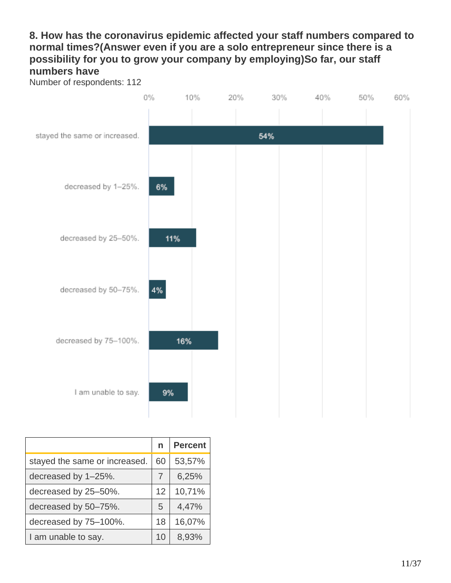### **8. How has the coronavirus epidemic affected your staff numbers compared to normal times?(Answer even if you are a solo entrepreneur since there is a possibility for you to grow your company by employing)So far, our staff numbers have**





|                               | n  | <b>Percent</b> |
|-------------------------------|----|----------------|
| stayed the same or increased. | 60 | 53,57%         |
| decreased by 1-25%.           | 7  | 6,25%          |
| decreased by 25-50%.          | 12 | 10,71%         |
| decreased by 50-75%.          | 5  | 4,47%          |
| decreased by 75-100%.         | 18 | 16,07%         |
| I am unable to say.           | 10 | 8,93%          |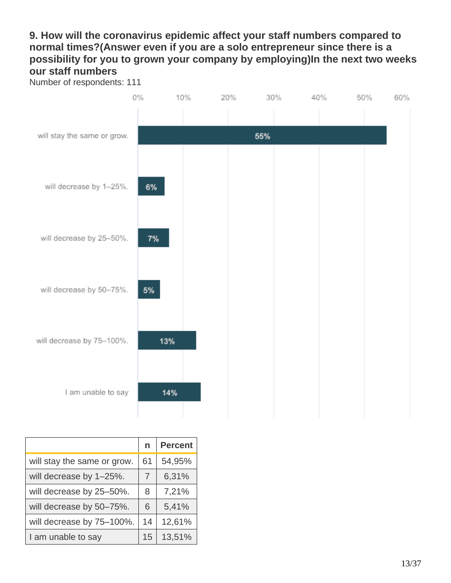### **9. How will the coronavirus epidemic affect your staff numbers compared to normal times?(Answer even if you are a solo entrepreneur since there is a possibility for you to grown your company by employing)In the next two weeks our staff numbers**





|                             | n  | <b>Percent</b> |
|-----------------------------|----|----------------|
| will stay the same or grow. | 61 | 54,95%         |
| will decrease by 1-25%.     | 7  | 6,31%          |
| will decrease by 25-50%.    | 8  | 7,21%          |
| will decrease by 50-75%.    | 6  | 5,41%          |
| will decrease by 75-100%.   | 14 | 12,61%         |
| I am unable to say          | 15 | 13,51%         |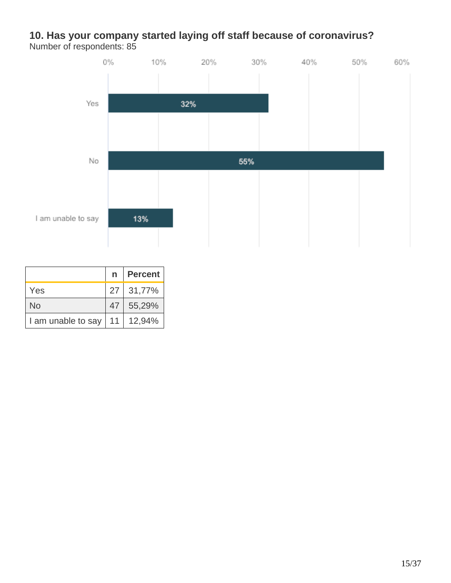#### **10. Has your company started laying off staff because of coronavirus?** Number of respondents: 85



|                                  |    | n   Percent |
|----------------------------------|----|-------------|
| Yes                              |    | 27 31,77%   |
| No                               | 47 | 55,29%      |
| I am unable to say   11   12,94% |    |             |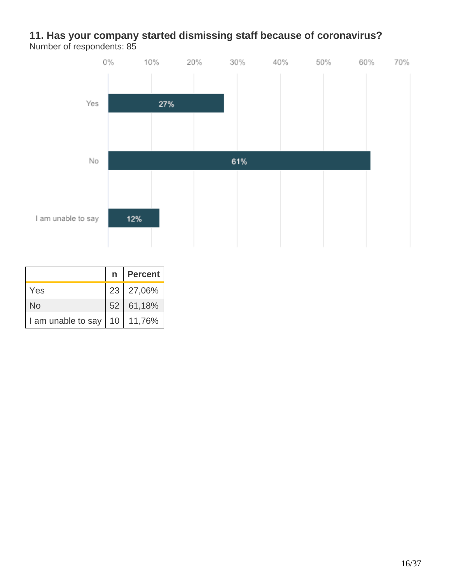#### **11. Has your company started dismissing staff because of coronavirus?** Number of respondents: 85



|                                  | n   Percent |
|----------------------------------|-------------|
| Yes                              | 23 27,06%   |
| <b>No</b>                        | 52 61,18%   |
| I am unable to say   10   11,76% |             |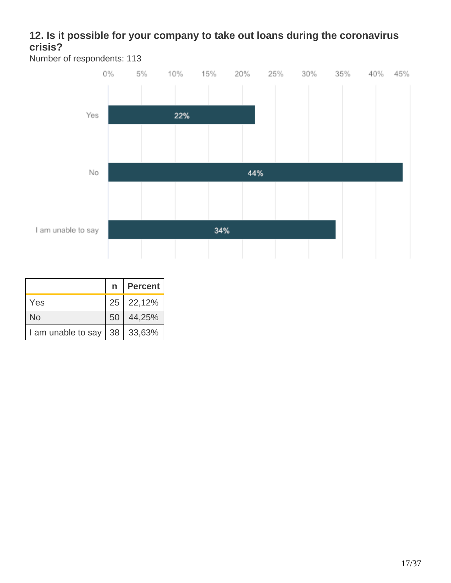# **12. Is it possible for your company to take out loans during the coronavirus crisis?**



|                                  | n   Percent |
|----------------------------------|-------------|
| Yes                              | 25 22,12%   |
| No                               | 50 44,25%   |
| I am unable to say   38   33,63% |             |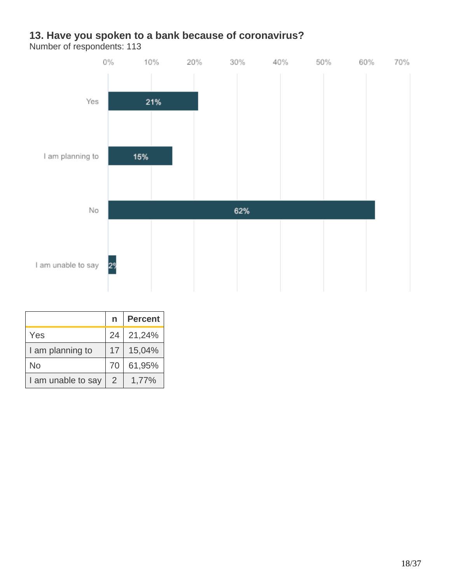#### **13. Have you spoken to a bank because of coronavirus?**



|                    | n  | <b>Percent</b> |
|--------------------|----|----------------|
| Yes                | 24 | 21,24%         |
| I am planning to   | 17 | 15,04%         |
| No                 | 70 | 61,95%         |
| I am unable to say | 2  | 1,77%          |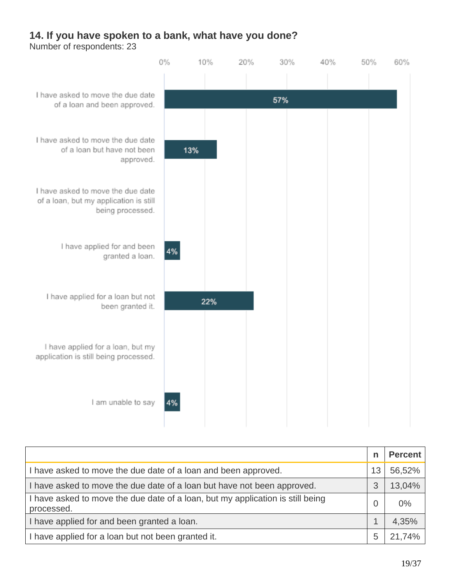#### **14. If you have spoken to a bank, what have you done?**



|                                                                                              | n  | Percent |
|----------------------------------------------------------------------------------------------|----|---------|
| I have asked to move the due date of a loan and been approved.                               | 13 | 56,52%  |
| I have asked to move the due date of a loan but have not been approved.                      | 3  | 13,04%  |
| I have asked to move the due date of a loan, but my application is still being<br>processed. |    | 0%      |
| I have applied for and been granted a loan.                                                  |    | 4,35%   |
| I have applied for a loan but not been granted it.                                           | 5  | 21,74%  |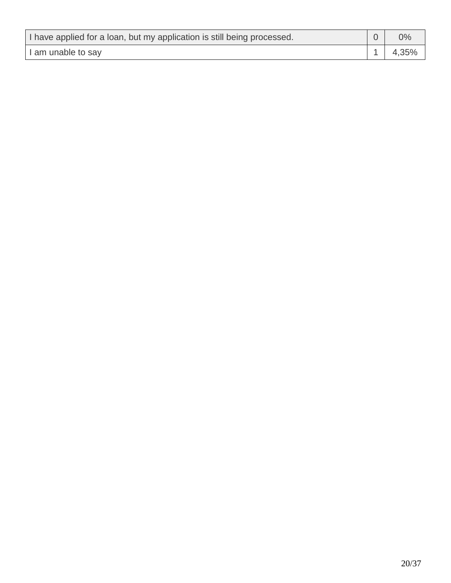| I have applied for a loan, but my application is still being processed. | $0\%$ |
|-------------------------------------------------------------------------|-------|
| I am unable to say                                                      | 4,35% |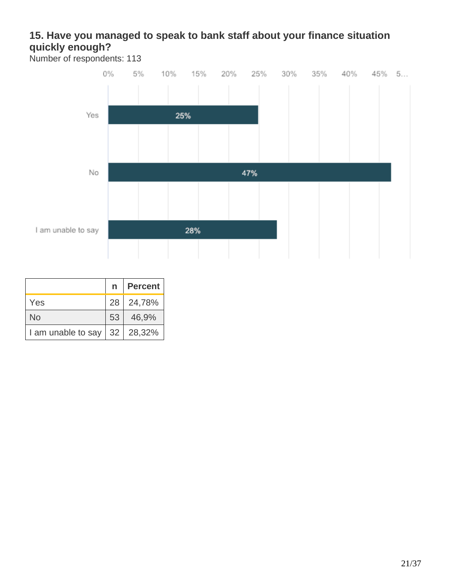# **15. Have you managed to speak to bank staff about your finance situation quickly enough?**



|                                              | n   Percent |
|----------------------------------------------|-------------|
| Yes                                          | 28 24,78%   |
| No                                           | 53 46,9%    |
| I am unable to say $\vert$ 32 $\vert$ 28,32% |             |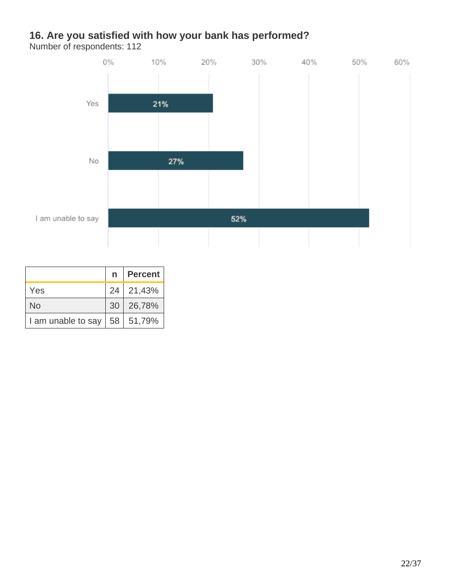# **16. Are you satisfied with how your bank has performed?**



|                                  | n   Percent |
|----------------------------------|-------------|
| Yes                              | 24 21,43%   |
| No                               | 30 26,78%   |
| I am unable to say   58   51,79% |             |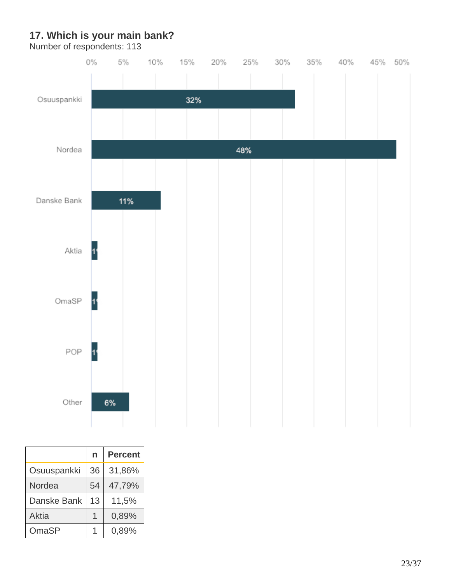# **17. Which is your main bank?**



|             | n  | <b>Percent</b> |
|-------------|----|----------------|
| Osuuspankki | 36 | 31,86%         |
| Nordea      | 54 | 47,79%         |
| Danske Bank | 13 | 11,5%          |
| Aktia       |    | 0,89%          |
| OmaSP       |    | 0,89%          |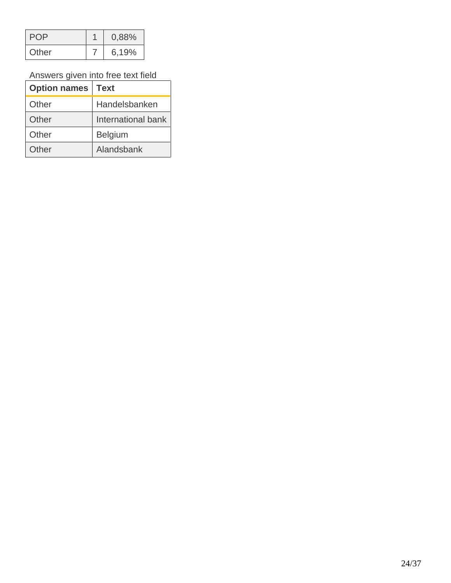|       | 0,88% |
|-------|-------|
| Other | 6,19% |

Answers given into free text field

| <b>Option names   Text</b> |                    |
|----------------------------|--------------------|
| Other                      | Handelsbanken      |
| Other                      | International bank |
| Other                      | <b>Belgium</b>     |
| Other                      | Alandsbank         |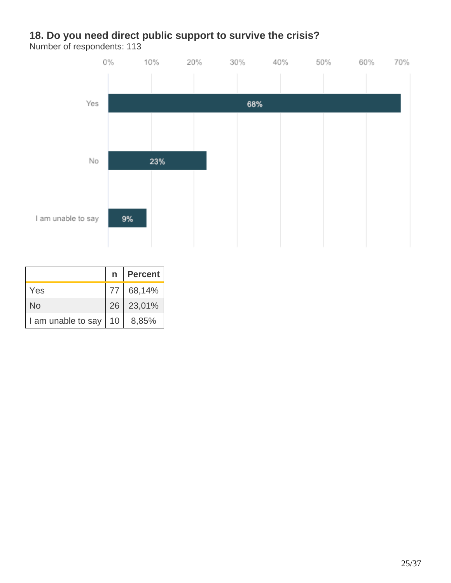# **18. Do you need direct public support to survive the crisis?**



|                    |                 | n   Percent |
|--------------------|-----------------|-------------|
| Yes                | 77 I            | 68,14%      |
| No                 |                 | 26 23,01%   |
| I am unable to say | 10 <sup>1</sup> | 8,85%       |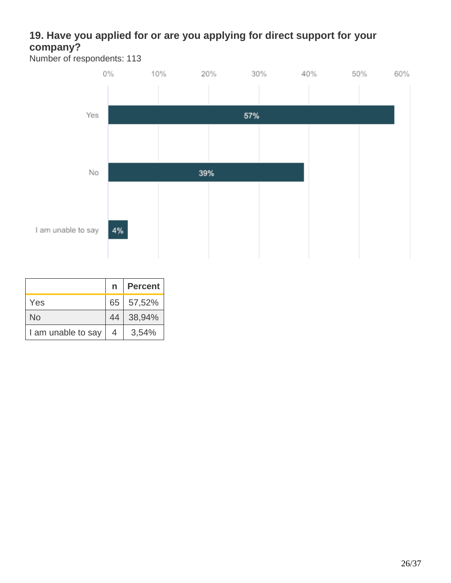# **19. Have you applied for or are you applying for direct support for your company?**



|                    | $\mathsf{n}$ | Percent   |
|--------------------|--------------|-----------|
| Yes                |              | 65 57,52% |
| <b>No</b>          | 44           | 38,94%    |
| I am unable to say | 4            | 3,54%     |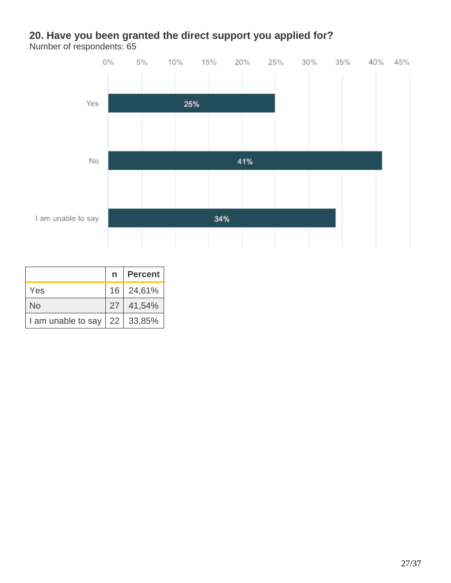#### **20. Have you been granted the direct support you applied for?** Number of respondents: 65



|                                  | n Percent |
|----------------------------------|-----------|
| Yes                              | 16 24,61% |
| <b>No</b>                        | 27 41,54% |
| I am unable to say   22   33,85% |           |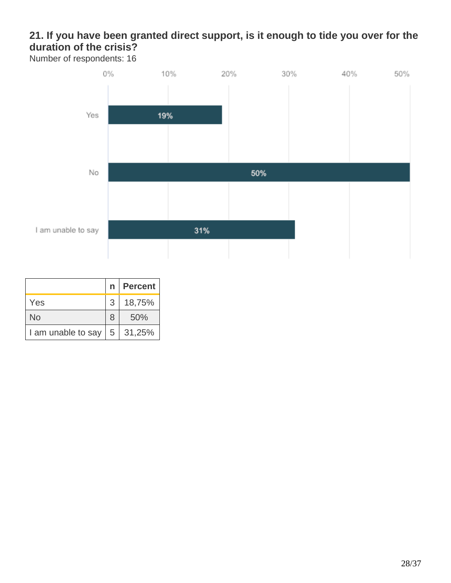# **21. If you have been granted direct support, is it enough to tide you over for the duration of the crisis?**



|                                            |                | n   Percent |
|--------------------------------------------|----------------|-------------|
| <b>Yes</b>                                 | 3 <sup>1</sup> | 18,75%      |
| No                                         | 8              | 50%         |
| I am unable to say $\vert 5 \vert 31,25\%$ |                |             |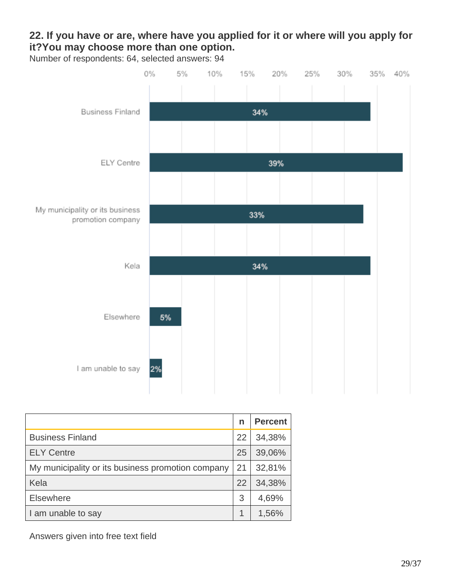# **22. If you have or are, where have you applied for it or where will you apply for it?You may choose more than one option.**

Number of respondents: 64, selected answers: 94



|                                                   | n  | <b>Percent</b> |
|---------------------------------------------------|----|----------------|
| <b>Business Finland</b>                           | 22 | 34,38%         |
| <b>ELY Centre</b>                                 | 25 | 39,06%         |
| My municipality or its business promotion company | 21 | 32,81%         |
| Kela                                              | 22 | 34,38%         |
| <b>Elsewhere</b>                                  | 3  | 4,69%          |
| I am unable to say                                |    | 1,56%          |

Answers given into free text field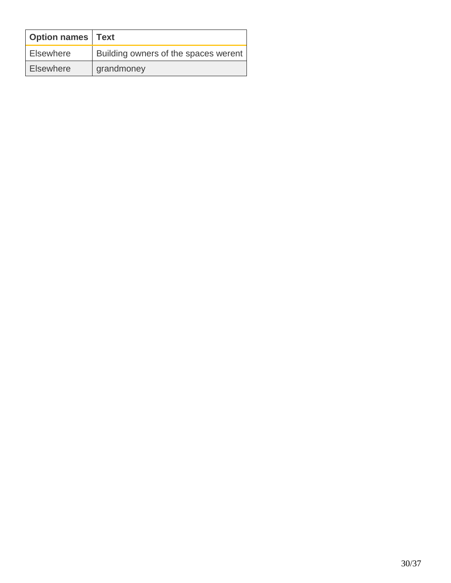| <b>Option names Text</b> |                                      |
|--------------------------|--------------------------------------|
| <b>Elsewhere</b>         | Building owners of the spaces werent |
| <b>Elsewhere</b>         | grandmoney                           |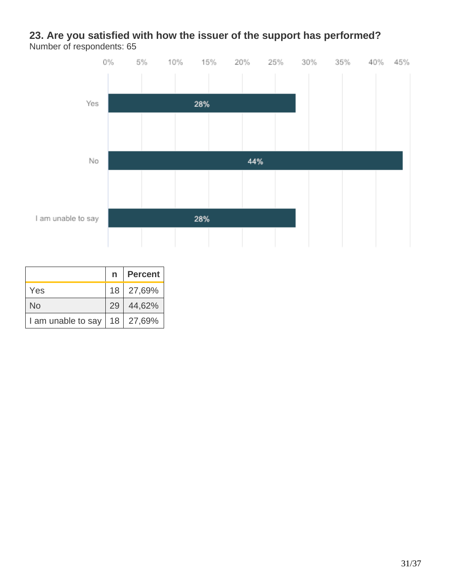#### **23. Are you satisfied with how the issuer of the support has performed?** Number of respondents: 65



|                                  |    | n   Percent |
|----------------------------------|----|-------------|
| Yes                              |    | 18 27,69%   |
| <b>No</b>                        | 29 | 44,62%      |
| I am unable to say   18   27,69% |    |             |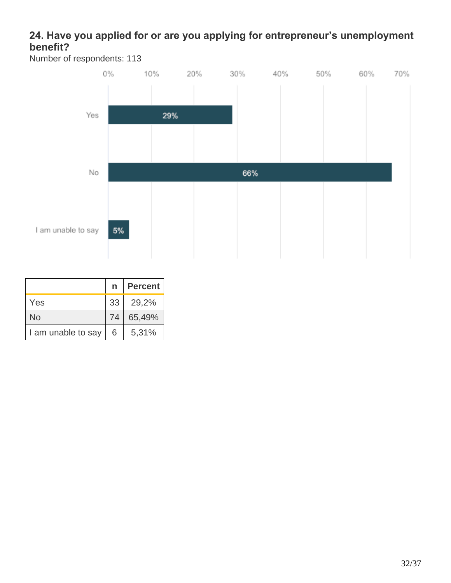# **24. Have you applied for or are you applying for entrepreneur's unemployment benefit?**



|                    | $\mathsf{n}$ | Percent  |
|--------------------|--------------|----------|
| Yes                |              | 33 29,2% |
| No                 | 74           | 65,49%   |
| I am unable to say | 6            | 5,31%    |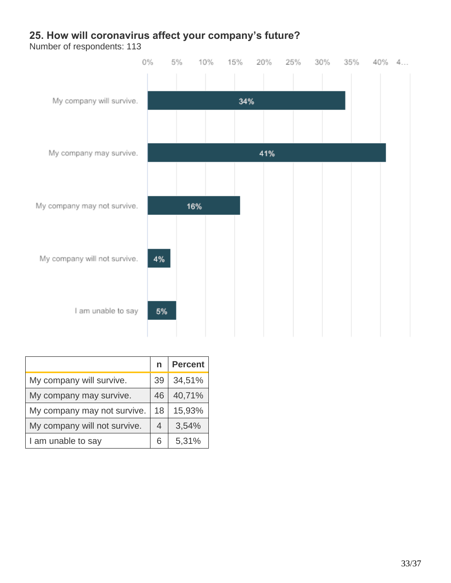# **25. How will coronavirus affect your company's future?**



|                              | n  | <b>Percent</b> |
|------------------------------|----|----------------|
| My company will survive.     | 39 | 34,51%         |
| My company may survive.      | 46 | 40,71%         |
| My company may not survive.  | 18 | 15,93%         |
| My company will not survive. | 4  | 3,54%          |
| I am unable to say           | 6  | 5,31%          |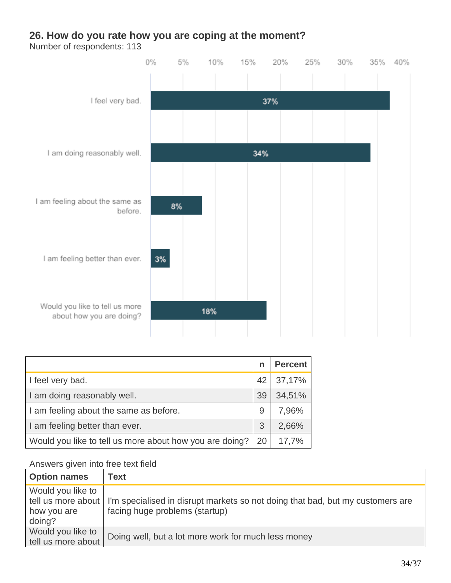#### **26. How do you rate how you are coping at the moment?**

Number of respondents: 113



|                                                         | n  | <b>Percent</b> |
|---------------------------------------------------------|----|----------------|
| I feel very bad.                                        | 42 | 37,17%         |
| I am doing reasonably well.                             | 39 | 34,51%         |
| I am feeling about the same as before.                  | 9  | 7,96%          |
| I am feeling better than ever.                          | 3  | 2,66%          |
| Would you like to tell us more about how you are doing? | 20 | 17,7%          |

#### Answers given into free text field

| <b>Option names</b>                                              | Text                                                                                                             |
|------------------------------------------------------------------|------------------------------------------------------------------------------------------------------------------|
| Would you like to<br>tell us more about<br>how you are<br>doing? | I'm specialised in disrupt markets so not doing that bad, but my customers are<br>facing huge problems (startup) |
| Would you like to<br>tell us more about                          | Doing well, but a lot more work for much less money                                                              |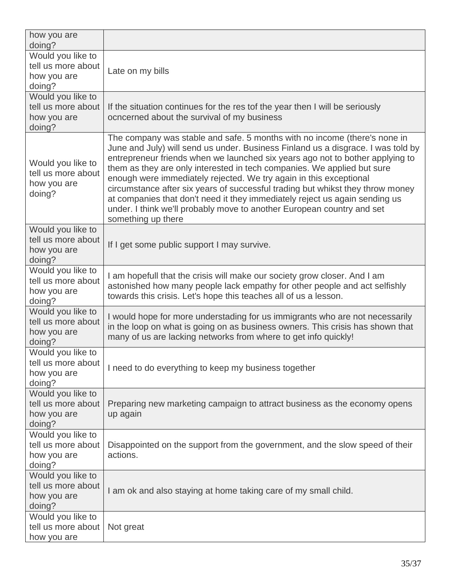| how you are<br>doing?                                            |                                                                                                                                                                                                                                                                                                                                                                                                                                                                                                                                                                                                                                                                  |
|------------------------------------------------------------------|------------------------------------------------------------------------------------------------------------------------------------------------------------------------------------------------------------------------------------------------------------------------------------------------------------------------------------------------------------------------------------------------------------------------------------------------------------------------------------------------------------------------------------------------------------------------------------------------------------------------------------------------------------------|
| Would you like to<br>tell us more about<br>how you are<br>doing? | Late on my bills                                                                                                                                                                                                                                                                                                                                                                                                                                                                                                                                                                                                                                                 |
| Would you like to<br>tell us more about<br>how you are<br>doing? | If the situation continues for the res tof the year then I will be seriously<br>ocncerned about the survival of my business                                                                                                                                                                                                                                                                                                                                                                                                                                                                                                                                      |
| Would you like to<br>tell us more about<br>how you are<br>doing? | The company was stable and safe. 5 months with no income (there's none in<br>June and July) will send us under. Business Finland us a disgrace. I was told by<br>entrepreneur friends when we launched six years ago not to bother applying to<br>them as they are only interested in tech companies. We applied but sure<br>enough were immediately rejected. We try again in this exceptional<br>circumstance after six years of successful trading but whikst they throw money<br>at companies that don't need it they immediately reject us again sending us<br>under. I think we'll probably move to another European country and set<br>something up there |
| Would you like to<br>tell us more about<br>how you are<br>doing? | If I get some public support I may survive.                                                                                                                                                                                                                                                                                                                                                                                                                                                                                                                                                                                                                      |
| Would you like to<br>tell us more about<br>how you are<br>doing? | I am hopefull that the crisis will make our society grow closer. And I am<br>astonished how many people lack empathy for other people and act selfishly<br>towards this crisis. Let's hope this teaches all of us a lesson.                                                                                                                                                                                                                                                                                                                                                                                                                                      |
| Would you like to<br>tell us more about<br>how you are<br>doing? | I would hope for more understading for us immigrants who are not necessarily<br>in the loop on what is going on as business owners. This crisis has shown that<br>many of us are lacking networks from where to get info quickly!                                                                                                                                                                                                                                                                                                                                                                                                                                |
| Would you like to<br>tell us more about<br>how you are<br>doing? | I need to do everything to keep my business together                                                                                                                                                                                                                                                                                                                                                                                                                                                                                                                                                                                                             |
| Would you like to<br>tell us more about<br>how you are<br>doing? | Preparing new marketing campaign to attract business as the economy opens<br>up again                                                                                                                                                                                                                                                                                                                                                                                                                                                                                                                                                                            |
| Would you like to<br>tell us more about<br>how you are<br>doing? | Disappointed on the support from the government, and the slow speed of their<br>actions.                                                                                                                                                                                                                                                                                                                                                                                                                                                                                                                                                                         |
| Would you like to<br>tell us more about<br>how you are<br>doing? | I am ok and also staying at home taking care of my small child.                                                                                                                                                                                                                                                                                                                                                                                                                                                                                                                                                                                                  |
| Would you like to<br>tell us more about<br>how you are           | Not great                                                                                                                                                                                                                                                                                                                                                                                                                                                                                                                                                                                                                                                        |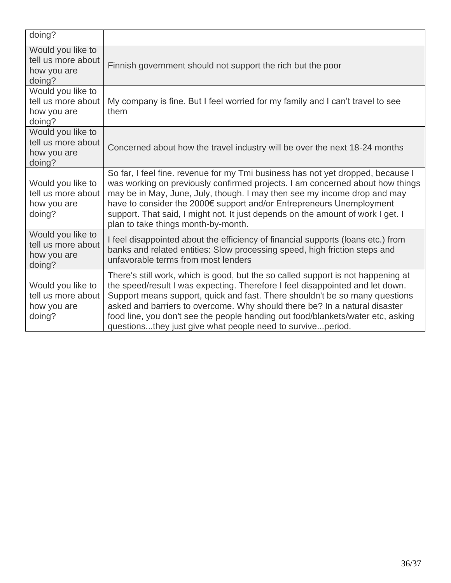| doing?                                                           |                                                                                                                                                                                                                                                                                                                                                                                                                                                                                 |
|------------------------------------------------------------------|---------------------------------------------------------------------------------------------------------------------------------------------------------------------------------------------------------------------------------------------------------------------------------------------------------------------------------------------------------------------------------------------------------------------------------------------------------------------------------|
| Would you like to<br>tell us more about<br>how you are<br>doing? | Finnish government should not support the rich but the poor                                                                                                                                                                                                                                                                                                                                                                                                                     |
| Would you like to<br>tell us more about<br>how you are<br>doing? | My company is fine. But I feel worried for my family and I can't travel to see<br>them                                                                                                                                                                                                                                                                                                                                                                                          |
| Would you like to<br>tell us more about<br>how you are<br>doing? | Concerned about how the travel industry will be over the next 18-24 months                                                                                                                                                                                                                                                                                                                                                                                                      |
| Would you like to<br>tell us more about<br>how you are<br>doing? | So far, I feel fine. revenue for my Tmi business has not yet dropped, because I<br>was working on previously confirmed projects. I am concerned about how things<br>may be in May, June, July, though. I may then see my income drop and may<br>have to consider the 2000€ support and/or Entrepreneurs Unemployment<br>support. That said, I might not. It just depends on the amount of work I get. I<br>plan to take things month-by-month.                                  |
| Would you like to<br>tell us more about<br>how you are<br>doing? | I feel disappointed about the efficiency of financial supports (loans etc.) from<br>banks and related entities: Slow processing speed, high friction steps and<br>unfavorable terms from most lenders                                                                                                                                                                                                                                                                           |
| Would you like to<br>tell us more about<br>how you are<br>doing? | There's still work, which is good, but the so called support is not happening at<br>the speed/result I was expecting. Therefore I feel disappointed and let down.<br>Support means support, quick and fast. There shouldn't be so many questions<br>asked and barriers to overcome. Why should there be? In a natural disaster<br>food line, you don't see the people handing out food/blankets/water etc, asking<br>questionsthey just give what people need to surviveperiod. |